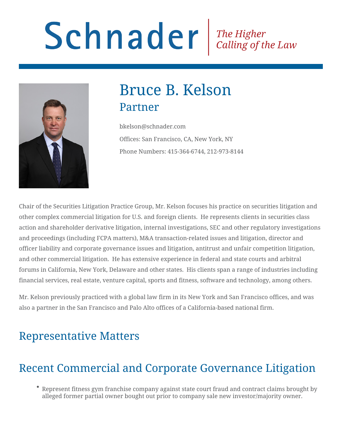# Schnader Fine Higher Calling of the Law



# Bruce B. Kelson Partner

bkelson@schnader.com Offices: San Francisco, CA, New York, NY Phone Numbers: 415-364-6744, 212-973-8144

Chair of the Securities Litigation Practice Group, Mr. Kelson focuses his practice on securities litigation and other complex commercial litigation for U.S. and foreign clients. He represents clients in securities class action and shareholder derivative litigation, internal investigations, SEC and other regulatory investigations and proceedings (including FCPA matters), M&A transaction-related issues and litigation, director and officer liability and corporate governance issues and litigation, antitrust and unfair competition litigation, and other commercial litigation. He has extensive experience in federal and state courts and arbitral forums in California, New York, Delaware and other states. His clients span a range of industries including financial services, real estate, venture capital, sports and fitness, software and technology, among others.

Mr. Kelson previously practiced with a global law firm in its New York and San Francisco offices, and was also a partner in the San Francisco and Palo Alto offices of a California-based national firm.

# Representative Matters

# Recent Commercial and Corporate Governance Litigation

Represent fitness gym franchise company against state court fraud and contract claims brought by alleged former partial owner bought out prior to company sale new investor/majority owner.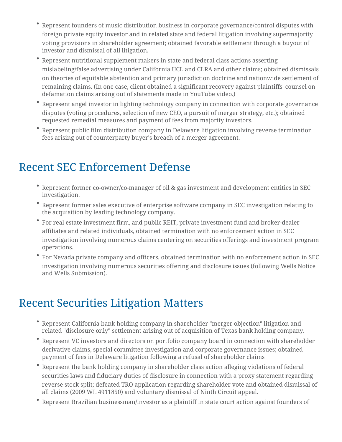- Represent founders of music distribution business in corporate governance/control disputes with foreign private equity investor and in related state and federal litigation involving supermajority voting provisions in shareholder agreement; obtained favorable settlement through a buyout of investor and dismissal of all litigation.
- Represent nutritional supplement makers in state and federal class actions asserting mislabeling/false advertising under California UCL and CLRA and other claims; obtained dismissals on theories of equitable abstention and primary jurisdiction doctrine and nationwide settlement of remaining claims. (In one case, client obtained a significant recovery against plaintiffs' counsel on defamation claims arising out of statements made in YouTube video.)
- Represent angel investor in lighting technology company in connection with corporate governance disputes (voting procedures, selection of new CEO, a pursuit of merger strategy, etc.); obtained requested remedial measures and payment of fees from majority investors.
- Represent public film distribution company in Delaware litigation involving reverse termination fees arising out of counterparty buyer's breach of a merger agreement.

# Recent SEC Enforcement Defense

- Represent former co-owner/co-manager of oil & gas investment and development entities in SEC investigation.
- Represent former sales executive of enterprise software company in SEC investigation relating to the acquisition by leading technology company.
- For real estate investment firm, and public REIT, private investment fund and broker-dealer affiliates and related individuals, obtained termination with no enforcement action in SEC investigation involving numerous claims centering on securities offerings and investment program operations.
- For Nevada private company and officers, obtained termination with no enforcement action in SEC investigation involving numerous securities offering and disclosure issues (following Wells Notice and Wells Submission).

# Recent Securities Litigation Matters

- Represent California bank holding company in shareholder "merger objection" litigation and related "disclosure only" settlement arising out of acquisition of Texas bank holding company.
- Represent VC investors and directors on portfolio company board in connection with shareholder derivative claims, special committee investigation and corporate governance issues; obtained payment of fees in Delaware litigation following a refusal of shareholder claims
- Represent the bank holding company in shareholder class action alleging violations of federal securities laws and fiduciary duties of disclosure in connection with a proxy statement regarding reverse stock split; defeated TRO application regarding shareholder vote and obtained dismissal of all claims (2009 WL 4911850) and voluntary dismissal of Ninth Circuit appeal.
- Represent Brazilian businessman/investor as a plaintiff in state court action against founders of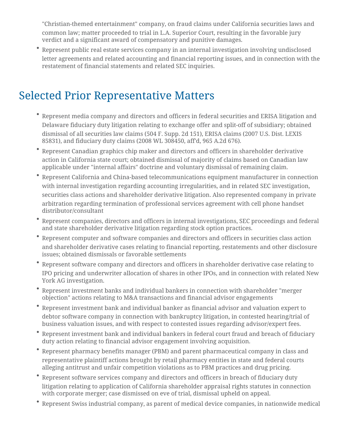"Christian-themed entertainment" company, on fraud claims under California securities laws and common law; matter proceeded to trial in L.A. Superior Court, resulting in the favorable jury verdict and a significant award of compensatory and punitive damages.

Represent public real estate services company in an internal investigation involving undisclosed letter agreements and related accounting and financial reporting issues, and in connection with the restatement of financial statements and related SEC inquiries.

### Selected Prior Representative Matters

- Represent media company and directors and officers in federal securities and ERISA litigation and Delaware fiduciary duty litigation relating to exchange offer and split-off of subsidiary; obtained dismissal of all securities law claims (504 F. Supp. 2d 151), ERISA claims (2007 U.S. Dist. LEXIS 85831), and fiduciary duty claims (2008 WL 308450, aff'd, 965 A.2d 676).
- Represent Canadian graphics chip maker and directors and officers in shareholder derivative action in California state court; obtained dismissal of majority of claims based on Canadian law applicable under "internal affairs" doctrine and voluntary dismissal of remaining claim.
- Represent California and China-based telecommunications equipment manufacturer in connection with internal investigation regarding accounting irregularities, and in related SEC investigation, securities class actions and shareholder derivative litigation. Also represented company in private arbitration regarding termination of professional services agreement with cell phone handset distributor/consultant
- Represent companies, directors and officers in internal investigations, SEC proceedings and federal and state shareholder derivative litigation regarding stock option practices.
- Represent computer and software companies and directors and officers in securities class action and shareholder derivative cases relating to financial reporting, restatements and other disclosure issues; obtained dismissals or favorable settlements
- Represent software company and directors and officers in shareholder derivative case relating to IPO pricing and underwriter allocation of shares in other IPOs, and in connection with related New York AG investigation.
- Represent investment banks and individual bankers in connection with shareholder "merger objection" actions relating to M&A transactions and financial advisor engagements
- Represent investment bank and individual banker as financial advisor and valuation expert to debtor software company in connection with bankruptcy litigation, in contested hearing/trial of business valuation issues, and with respect to contested issues regarding advisor/expert fees.
- Represent investment bank and individual bankers in federal court fraud and breach of fiduciary duty action relating to financial advisor engagement involving acquisition.
- Represent pharmacy benefits manager (PBM) and parent pharmaceutical company in class and representative plaintiff actions brought by retail pharmacy entities in state and federal courts alleging antitrust and unfair competition violations as to PBM practices and drug pricing.
- Represent software services company and directors and officers in breach of fiduciary duty litigation relating to application of California shareholder appraisal rights statutes in connection with corporate merger; case dismissed on eve of trial, dismissal upheld on appeal.
- Represent Swiss industrial company, as parent of medical device companies, in nationwide medical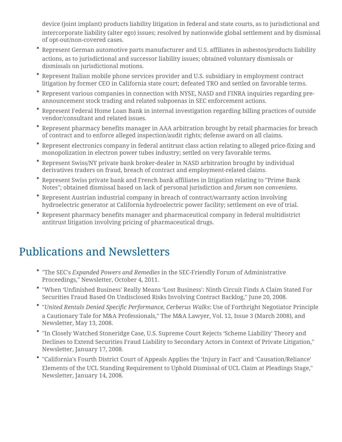device (joint implant) products liability litigation in federal and state courts, as to jurisdictional and intercorporate liability (alter ego) issues; resolved by nationwide global settlement and by dismissal of opt-out/non-covered cases.

- Represent German automotive parts manufacturer and U.S. affiliates in asbestos/products liability actions, as to jurisdictional and successor liability issues; obtained voluntary dismissals or dismissals on jurisdictional motions.
- Represent Italian mobile phone services provider and U.S. subsidiary in employment contract litigation by former CEO in California state court; defeated TRO and settled on favorable terms.
- Represent various companies in connection with NYSE, NASD and FINRA inquiries regarding preannouncement stock trading and related subpoenas in SEC enforcement actions.
- Represent Federal Home Loan Bank in internal investigation regarding billing practices of outside vendor/consultant and related issues.
- Represent pharmacy benefits manager in AAA arbitration brought by retail pharmacies for breach of contract and to enforce alleged inspection/audit rights; defense award on all claims.
- Represent electronics company in federal antitrust class action relating to alleged price-fixing and monopolization in electron power tubes industry; settled on very favorable terms.
- Represent Swiss/NY private bank broker-dealer in NASD arbitration brought by individual derivatives traders on fraud, breach of contract and employment-related claims.
- Represent Swiss private bank and French bank affiliates in litigation relating to "Prime Bank Notes"; obtained dismissal based on lack of personal jurisdiction and *forum non conveniens*.
- Represent Austrian industrial company in breach of contract/warranty action involving hydroelectric generator at California hydroelectric power facility; settlement on eve of trial.
- Represent pharmacy benefits manager and pharmaceutical company in federal multidistrict antitrust litigation involving pricing of pharmaceutical drugs.

### Publications and Newsletters

- "The SEC's *Expanded Powers and Remedies* in the SEC-Friendly Forum of Administrative Proceedings," Newsletter, October 4, 2011.
- "When 'Unfinished Business' Really Means 'Lost Business': Ninth Circuit Finds A Claim Stated For Securities Fraud Based On Undisclosed Risks Involving Contract Backlog," June 20, 2008.
- "*United Rentals Denied Specific Performance, Cerberus Walks*: Use of Forthright Negotiator Principle a Cautionary Tale for M&A Professionals," The M&A Lawyer, Vol. 12, Issue 3 (March 2008), and Newsletter, May 13, 2008.
- "In Closely Watched Stoneridge Case, U.S. Supreme Court Rejects 'Scheme Liability' Theory and Declines to Extend Securities Fraud Liability to Secondary Actors in Context of Private Litigation," Newsletter, January 17, 2008.
- "California's Fourth District Court of Appeals Applies the 'Injury in Fact' and 'Causation/Reliance' Elements of the UCL Standing Requirement to Uphold Dismissal of UCL Claim at Pleadings Stage," Newsletter, January 14, 2008.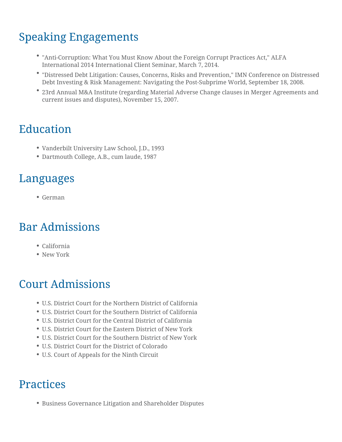# Speaking Engagements

- "Anti-Corruption: What You Must Know About the Foreign Corrupt Practices Act," ALFA International 2014 International Client Seminar, March 7, 2014.
- "Distressed Debt Litigation: Causes, Concerns, Risks and Prevention," IMN Conference on Distressed Debt Investing & Risk Management: Navigating the Post-Subprime World, September 18, 2008.
- 23rd Annual M&A Institute (regarding Material Adverse Change clauses in Merger Agreements and current issues and disputes), November 15, 2007.

## Education

- Vanderbilt University Law School, J.D., 1993
- Dartmouth College, A.B., cum laude, 1987

### Languages

German

# Bar Admissions

- California
- New York

# Court Admissions

- U.S. District Court for the Northern District of California
- U.S. District Court for the Southern District of California
- U.S. District Court for the Central District of California
- U.S. District Court for the Eastern District of New York
- U.S. District Court for the Southern District of New York
- U.S. District Court for the District of Colorado
- U.S. Court of Appeals for the Ninth Circuit

### **Practices**

Business Governance Litigation and Shareholder Disputes